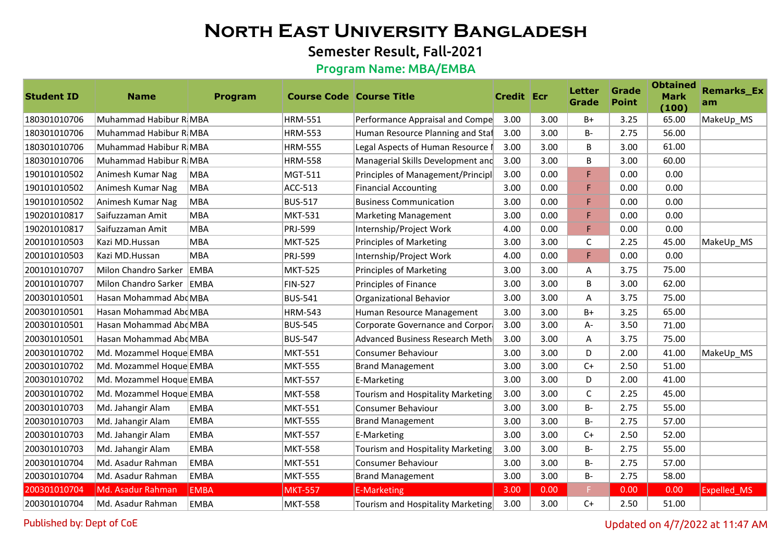## Semester Result, Fall-2021

### Program Name: MBA/EMBA

| <b>Student ID</b> | <b>Name</b>                 | Program     | <b>Course Code Course Title</b> |                                   | <b>Credit Ecr</b> |      | <b>Letter</b><br><b>Grade</b> | <b>Grade</b><br><b>Point</b> | <b>Obtained</b><br><b>Mark</b><br>(100) | <b>Remarks_Ex</b><br>am |
|-------------------|-----------------------------|-------------|---------------------------------|-----------------------------------|-------------------|------|-------------------------------|------------------------------|-----------------------------------------|-------------------------|
| 180301010706      | Muhammad Habibur R MBA      |             | <b>HRM-551</b>                  | Performance Appraisal and Compe   | 3.00              | 3.00 | $B+$                          | 3.25                         | 65.00                                   | MakeUp_MS               |
| 180301010706      | Muhammad Habibur R MBA      |             | <b>HRM-553</b>                  | Human Resource Planning and Staf  | 3.00              | 3.00 | $B -$                         | 2.75                         | 56.00                                   |                         |
| 180301010706      | Muhammad Habibur R MBA      |             | <b>HRM-555</b>                  | Legal Aspects of Human Resource   | 3.00              | 3.00 | B                             | 3.00                         | 61.00                                   |                         |
| 180301010706      | Muhammad Habibur R MBA      |             | <b>HRM-558</b>                  | Managerial Skills Development and | 3.00              | 3.00 | B                             | 3.00                         | 60.00                                   |                         |
| 190101010502      | Animesh Kumar Nag           | <b>MBA</b>  | MGT-511                         | Principles of Management/Principl | 3.00              | 0.00 | F                             | 0.00                         | 0.00                                    |                         |
| 190101010502      | Animesh Kumar Nag           | <b>MBA</b>  | <b>ACC-513</b>                  | <b>Financial Accounting</b>       | 3.00              | 0.00 | F.                            | 0.00                         | 0.00                                    |                         |
| 190101010502      | Animesh Kumar Nag           | <b>MBA</b>  | <b>BUS-517</b>                  | <b>Business Communication</b>     | 3.00              | 0.00 | F                             | 0.00                         | 0.00                                    |                         |
| 190201010817      | Saifuzzaman Amit            | <b>MBA</b>  | <b>MKT-531</b>                  | <b>Marketing Management</b>       | 3.00              | 0.00 | F.                            | 0.00                         | 0.00                                    |                         |
| 190201010817      | Saifuzzaman Amit            | <b>MBA</b>  | PRJ-599                         | Internship/Project Work           | 4.00              | 0.00 | F.                            | 0.00                         | 0.00                                    |                         |
| 200101010503      | Kazi MD.Hussan              | <b>MBA</b>  | <b>MKT-525</b>                  | <b>Principles of Marketing</b>    | 3.00              | 3.00 | C                             | 2.25                         | 45.00                                   | MakeUp_MS               |
| 200101010503      | Kazi MD.Hussan              | <b>MBA</b>  | PRJ-599                         | Internship/Project Work           | 4.00              | 0.00 | F                             | 0.00                         | 0.00                                    |                         |
| 200101010707      | Milon Chandro Sarker        | EMBA        | <b>MKT-525</b>                  | <b>Principles of Marketing</b>    | 3.00              | 3.00 | A                             | 3.75                         | 75.00                                   |                         |
| 200101010707      | Milon Chandro Sarker   EMBA |             | <b>FIN-527</b>                  | Principles of Finance             | 3.00              | 3.00 | B                             | 3.00                         | 62.00                                   |                         |
| 200301010501      | Hasan Mohammad Abd MBA      |             | <b>BUS-541</b>                  | Organizational Behavior           | 3.00              | 3.00 | A                             | 3.75                         | 75.00                                   |                         |
| 200301010501      | Hasan Mohammad Abd MBA      |             | <b>HRM-543</b>                  | Human Resource Management         | 3.00              | 3.00 | $B+$                          | 3.25                         | 65.00                                   |                         |
| 200301010501      | Hasan Mohammad AbdMBA       |             | <b>BUS-545</b>                  | Corporate Governance and Corpora  | 3.00              | 3.00 | А-                            | 3.50                         | 71.00                                   |                         |
| 200301010501      | Hasan Mohammad Abd MBA      |             | <b>BUS-547</b>                  | Advanced Business Research Meth   | 3.00              | 3.00 | A                             | 3.75                         | 75.00                                   |                         |
| 200301010702      | Md. Mozammel Hoque EMBA     |             | <b>MKT-551</b>                  | Consumer Behaviour                | 3.00              | 3.00 | D                             | 2.00                         | 41.00                                   | MakeUp_MS               |
| 200301010702      | Md. Mozammel Hoque EMBA     |             | <b>MKT-555</b>                  | <b>Brand Management</b>           | 3.00              | 3.00 | $C+$                          | 2.50                         | 51.00                                   |                         |
| 200301010702      | Md. Mozammel Hoque EMBA     |             | <b>MKT-557</b>                  | E-Marketing                       | 3.00              | 3.00 | D                             | 2.00                         | 41.00                                   |                         |
| 200301010702      | Md. Mozammel Hoque EMBA     |             | <b>MKT-558</b>                  | Tourism and Hospitality Marketing | 3.00              | 3.00 | C                             | 2.25                         | 45.00                                   |                         |
| 200301010703      | Md. Jahangir Alam           | <b>EMBA</b> | <b>MKT-551</b>                  | Consumer Behaviour                | 3.00              | 3.00 | $B -$                         | 2.75                         | 55.00                                   |                         |
| 200301010703      | Md. Jahangir Alam           | <b>EMBA</b> | <b>MKT-555</b>                  | <b>Brand Management</b>           | 3.00              | 3.00 | $B -$                         | 2.75                         | 57.00                                   |                         |
| 200301010703      | Md. Jahangir Alam           | <b>EMBA</b> | <b>MKT-557</b>                  | E-Marketing                       | 3.00              | 3.00 | $C+$                          | 2.50                         | 52.00                                   |                         |
| 200301010703      | Md. Jahangir Alam           | <b>EMBA</b> | <b>MKT-558</b>                  | Tourism and Hospitality Marketing | 3.00              | 3.00 | $B -$                         | 2.75                         | 55.00                                   |                         |
| 200301010704      | Md. Asadur Rahman           | <b>EMBA</b> | <b>MKT-551</b>                  | Consumer Behaviour                | 3.00              | 3.00 | B-                            | 2.75                         | 57.00                                   |                         |
| 200301010704      | Md. Asadur Rahman           | <b>EMBA</b> | <b>MKT-555</b>                  | <b>Brand Management</b>           | 3.00              | 3.00 | <b>B-</b>                     | 2.75                         | 58.00                                   |                         |
| 200301010704      | Md. Asadur Rahman           | <b>EMBA</b> | <b>MKT-557</b>                  | <b>E-Marketing</b>                | 3.00              | 0.00 |                               | 0.00                         | 0.00                                    | <b>Expelled MS</b>      |
| 200301010704      | Md. Asadur Rahman           | EMBA        | <b>MKT-558</b>                  | Tourism and Hospitality Marketing | 3.00              | 3.00 | $C+$                          | 2.50                         | 51.00                                   |                         |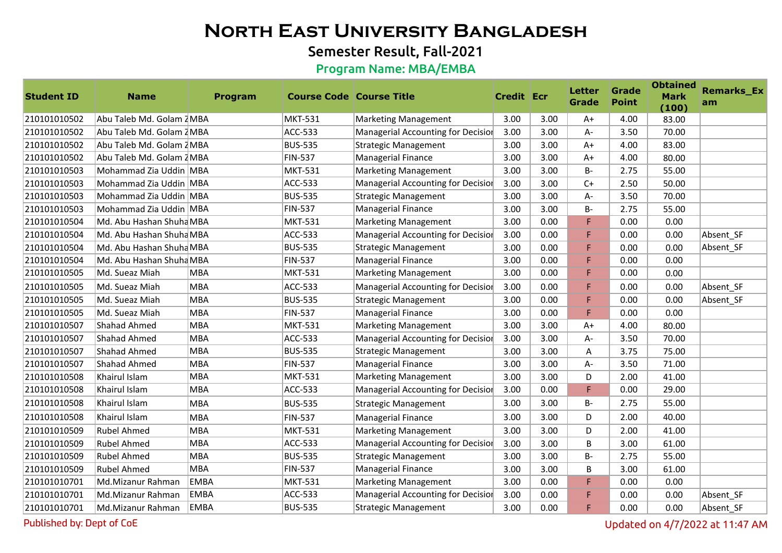## Semester Result, Fall-2021

### Program Name: MBA/EMBA

| <b>Student ID</b> | <b>Name</b>               | Program     | <b>Course Code Course Title</b> |                                    | <b>Credit Ecr</b> |      | Letter<br><b>Grade</b> | Grade<br><b>Point</b> | <b>Obtained</b><br><b>Mark</b><br>(100) | <b>Remarks_Ex</b><br>am |
|-------------------|---------------------------|-------------|---------------------------------|------------------------------------|-------------------|------|------------------------|-----------------------|-----------------------------------------|-------------------------|
| 210101010502      | Abu Taleb Md. Golam 2 MBA |             | MKT-531                         | <b>Marketing Management</b>        | 3.00              | 3.00 | $A+$                   | 4.00                  | 83.00                                   |                         |
| 210101010502      | Abu Taleb Md. Golam 2 MBA |             | ACC-533                         | Managerial Accounting for Decision | 3.00              | 3.00 | А-                     | 3.50                  | 70.00                                   |                         |
| 210101010502      | Abu Taleb Md. Golam 2 MBA |             | <b>BUS-535</b>                  | <b>Strategic Management</b>        | 3.00              | 3.00 | $A+$                   | 4.00                  | 83.00                                   |                         |
| 210101010502      | Abu Taleb Md. Golam ZMBA  |             | <b>FIN-537</b>                  | Managerial Finance                 | 3.00              | 3.00 | $A+$                   | 4.00                  | 80.00                                   |                         |
| 210101010503      | Mohammad Zia Uddin MBA    |             | <b>MKT-531</b>                  | Marketing Management               | 3.00              | 3.00 | $B -$                  | 2.75                  | 55.00                                   |                         |
| 210101010503      | Mohammad Zia Uddin MBA    |             | <b>ACC-533</b>                  | Managerial Accounting for Decision | 3.00              | 3.00 | $C+$                   | 2.50                  | 50.00                                   |                         |
| 210101010503      | Mohammad Zia Uddin MBA    |             | <b>BUS-535</b>                  | <b>Strategic Management</b>        | 3.00              | 3.00 | A-                     | 3.50                  | 70.00                                   |                         |
| 210101010503      | Mohammad Zia Uddin MBA    |             | <b>FIN-537</b>                  | <b>Managerial Finance</b>          | 3.00              | 3.00 | <b>B-</b>              | 2.75                  | 55.00                                   |                         |
| 210101010504      | Md. Abu Hashan Shuha MBA  |             | <b>MKT-531</b>                  | <b>Marketing Management</b>        | 3.00              | 0.00 | F                      | 0.00                  | 0.00                                    |                         |
| 210101010504      | Md. Abu Hashan Shuha MBA  |             | <b>ACC-533</b>                  | Managerial Accounting for Decision | 3.00              | 0.00 | F                      | 0.00                  | 0.00                                    | Absent SF               |
| 210101010504      | Md. Abu Hashan Shuha MBA  |             | <b>BUS-535</b>                  | <b>Strategic Management</b>        | 3.00              | 0.00 | F                      | 0.00                  | 0.00                                    | Absent SF               |
| 210101010504      | Md. Abu Hashan Shuha MBA  |             | <b>FIN-537</b>                  | <b>Managerial Finance</b>          | 3.00              | 0.00 | F                      | 0.00                  | 0.00                                    |                         |
| 210101010505      | Md. Sueaz Miah            | <b>MBA</b>  | MKT-531                         | <b>Marketing Management</b>        | 3.00              | 0.00 | F                      | 0.00                  | 0.00                                    |                         |
| 210101010505      | Md. Sueaz Miah            | <b>MBA</b>  | <b>ACC-533</b>                  | Managerial Accounting for Decision | 3.00              | 0.00 | F.                     | 0.00                  | 0.00                                    | Absent SF               |
| 210101010505      | Md. Sueaz Miah            | <b>MBA</b>  | <b>BUS-535</b>                  | <b>Strategic Management</b>        | 3.00              | 0.00 | F.                     | 0.00                  | 0.00                                    | Absent_SF               |
| 210101010505      | Md. Sueaz Miah            | <b>MBA</b>  | <b>FIN-537</b>                  | <b>Managerial Finance</b>          | 3.00              | 0.00 | F                      | 0.00                  | 0.00                                    |                         |
| 210101010507      | Shahad Ahmed              | <b>MBA</b>  | MKT-531                         | <b>Marketing Management</b>        | 3.00              | 3.00 | $A+$                   | 4.00                  | 80.00                                   |                         |
| 210101010507      | Shahad Ahmed              | <b>MBA</b>  | <b>ACC-533</b>                  | Managerial Accounting for Decision | 3.00              | 3.00 | А-                     | 3.50                  | 70.00                                   |                         |
| 210101010507      | Shahad Ahmed              | <b>MBA</b>  | <b>BUS-535</b>                  | <b>Strategic Management</b>        | 3.00              | 3.00 | Α                      | 3.75                  | 75.00                                   |                         |
| 210101010507      | Shahad Ahmed              | <b>MBA</b>  | <b>FIN-537</b>                  | <b>Managerial Finance</b>          | 3.00              | 3.00 | A-                     | 3.50                  | 71.00                                   |                         |
| 210101010508      | Khairul Islam             | <b>MBA</b>  | MKT-531                         | <b>Marketing Management</b>        | 3.00              | 3.00 | D                      | 2.00                  | 41.00                                   |                         |
| 210101010508      | Khairul Islam             | <b>MBA</b>  | <b>ACC-533</b>                  | Managerial Accounting for Decision | 3.00              | 0.00 | F                      | 0.00                  | 29.00                                   |                         |
| 210101010508      | Khairul Islam             | <b>MBA</b>  | <b>BUS-535</b>                  | <b>Strategic Management</b>        | 3.00              | 3.00 | <b>B-</b>              | 2.75                  | 55.00                                   |                         |
| 210101010508      | Khairul Islam             | <b>MBA</b>  | <b>FIN-537</b>                  | <b>Managerial Finance</b>          | 3.00              | 3.00 | D                      | 2.00                  | 40.00                                   |                         |
| 210101010509      | <b>Rubel Ahmed</b>        | <b>MBA</b>  | <b>MKT-531</b>                  | <b>Marketing Management</b>        | 3.00              | 3.00 | D                      | 2.00                  | 41.00                                   |                         |
| 210101010509      | <b>Rubel Ahmed</b>        | <b>MBA</b>  | <b>ACC-533</b>                  | Managerial Accounting for Decision | 3.00              | 3.00 | B                      | 3.00                  | 61.00                                   |                         |
| 210101010509      | <b>Rubel Ahmed</b>        | <b>MBA</b>  | <b>BUS-535</b>                  | <b>Strategic Management</b>        | 3.00              | 3.00 | B-                     | 2.75                  | 55.00                                   |                         |
| 210101010509      | Rubel Ahmed               | <b>MBA</b>  | <b>FIN-537</b>                  | Managerial Finance                 | 3.00              | 3.00 | B                      | 3.00                  | 61.00                                   |                         |
| 210101010701      | Md.Mizanur Rahman         | <b>EMBA</b> | <b>MKT-531</b>                  | Marketing Management               | 3.00              | 0.00 | F                      | 0.00                  | 0.00                                    |                         |
| 210101010701      | Md.Mizanur Rahman         | <b>EMBA</b> | <b>ACC-533</b>                  | Managerial Accounting for Decision | 3.00              | 0.00 | F                      | 0.00                  | 0.00                                    | Absent SF               |
| 210101010701      | Md.Mizanur Rahman         | <b>EMBA</b> | <b>BUS-535</b>                  | <b>Strategic Management</b>        | 3.00              | 0.00 | F                      | 0.00                  | 0.00                                    | Absent SF               |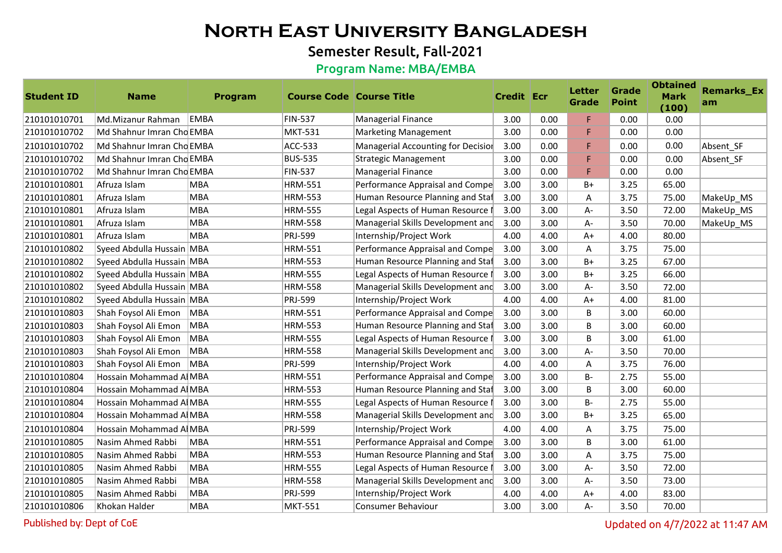## Semester Result, Fall-2021

### Program Name: MBA/EMBA

| <b>Student ID</b> | <b>Name</b>               | <b>Program</b> | <b>Course Code Course Title</b> |                                    | <b>Credit Ecr</b> |      | <b>Letter</b><br><b>Grade</b> | <b>Grade</b><br><b>Point</b> | <b>Obtained</b><br><b>Mark</b><br>(100) | <b>Remarks_Ex</b><br>am |
|-------------------|---------------------------|----------------|---------------------------------|------------------------------------|-------------------|------|-------------------------------|------------------------------|-----------------------------------------|-------------------------|
| 210101010701      | Md.Mizanur Rahman         | EMBA           | <b>FIN-537</b>                  | <b>Managerial Finance</b>          | 3.00              | 0.00 | F.                            | 0.00                         | 0.00                                    |                         |
| 210101010702      | Md Shahnur Imran Cho EMBA |                | <b>MKT-531</b>                  | Marketing Management               | 3.00              | 0.00 | F.                            | 0.00                         | 0.00                                    |                         |
| 210101010702      | Md Shahnur Imran Cho EMBA |                | <b>ACC-533</b>                  | Managerial Accounting for Decision | 3.00              | 0.00 | F.                            | 0.00                         | 0.00                                    | Absent SF               |
| 210101010702      | Md Shahnur Imran Cho EMBA |                | <b>BUS-535</b>                  | <b>Strategic Management</b>        | 3.00              | 0.00 | F.                            | 0.00                         | 0.00                                    | Absent_SF               |
| 210101010702      | Md Shahnur Imran Cho EMBA |                | <b>FIN-537</b>                  | <b>Managerial Finance</b>          | 3.00              | 0.00 | F.                            | 0.00                         | 0.00                                    |                         |
| 210101010801      | Afruza Islam              | <b>MBA</b>     | <b>HRM-551</b>                  | Performance Appraisal and Compe    | 3.00              | 3.00 | $B+$                          | 3.25                         | 65.00                                   |                         |
| 210101010801      | Afruza Islam              | <b>MBA</b>     | <b>HRM-553</b>                  | Human Resource Planning and Staf   | 3.00              | 3.00 | A                             | 3.75                         | 75.00                                   | MakeUp MS               |
| 210101010801      | Afruza Islam              | <b>MBA</b>     | <b>HRM-555</b>                  | Legal Aspects of Human Resource    | 3.00              | 3.00 | А-                            | 3.50                         | 72.00                                   | MakeUp_MS               |
| 210101010801      | Afruza Islam              | <b>MBA</b>     | <b>HRM-558</b>                  | Managerial Skills Development and  | 3.00              | 3.00 | A-                            | 3.50                         | 70.00                                   | MakeUp_MS               |
| 210101010801      | Afruza Islam              | <b>MBA</b>     | PRJ-599                         | Internship/Project Work            | 4.00              | 4.00 | $A+$                          | 4.00                         | 80.00                                   |                         |
| 210101010802      | Syeed Abdulla Hussain MBA |                | <b>HRM-551</b>                  | Performance Appraisal and Compe    | 3.00              | 3.00 | A                             | 3.75                         | 75.00                                   |                         |
| 210101010802      | Syeed Abdulla Hussain MBA |                | <b>HRM-553</b>                  | Human Resource Planning and Staf   | 3.00              | 3.00 | $B+$                          | 3.25                         | 67.00                                   |                         |
| 210101010802      | Syeed Abdulla Hussain MBA |                | <b>HRM-555</b>                  | Legal Aspects of Human Resource I  | 3.00              | 3.00 | $B+$                          | 3.25                         | 66.00                                   |                         |
| 210101010802      | Syeed Abdulla Hussain MBA |                | <b>HRM-558</b>                  | Managerial Skills Development and  | 3.00              | 3.00 | A-                            | 3.50                         | 72.00                                   |                         |
| 210101010802      | Syeed Abdulla Hussain MBA |                | PRJ-599                         | Internship/Project Work            | 4.00              | 4.00 | $A+$                          | 4.00                         | 81.00                                   |                         |
| 210101010803      | Shah Foysol Ali Emon      | MBA            | <b>HRM-551</b>                  | Performance Appraisal and Compe    | 3.00              | 3.00 | B                             | 3.00                         | 60.00                                   |                         |
| 210101010803      | Shah Foysol Ali Emon      | <b>MBA</b>     | <b>HRM-553</b>                  | Human Resource Planning and Staf   | 3.00              | 3.00 | B                             | 3.00                         | 60.00                                   |                         |
| 210101010803      | Shah Foysol Ali Emon      | MBA            | <b>HRM-555</b>                  | Legal Aspects of Human Resource    | 3.00              | 3.00 | B                             | 3.00                         | 61.00                                   |                         |
| 210101010803      | Shah Foysol Ali Emon      | <b>MBA</b>     | <b>HRM-558</b>                  | Managerial Skills Development and  | 3.00              | 3.00 | А-                            | 3.50                         | 70.00                                   |                         |
| 210101010803      | Shah Foysol Ali Emon      | <b>MBA</b>     | PRJ-599                         | Internship/Project Work            | 4.00              | 4.00 | A                             | 3.75                         | 76.00                                   |                         |
| 210101010804      | Hossain Mohammad A MBA    |                | <b>HRM-551</b>                  | Performance Appraisal and Compe    | 3.00              | 3.00 | $B -$                         | 2.75                         | 55.00                                   |                         |
| 210101010804      | Hossain Mohammad Al MBA   |                | <b>HRM-553</b>                  | Human Resource Planning and Staf   | 3.00              | 3.00 | B                             | 3.00                         | 60.00                                   |                         |
| 210101010804      | Hossain Mohammad A MBA    |                | <b>HRM-555</b>                  | Legal Aspects of Human Resource    | 3.00              | 3.00 | <b>B-</b>                     | 2.75                         | 55.00                                   |                         |
| 210101010804      | Hossain Mohammad A MBA    |                | <b>HRM-558</b>                  | Managerial Skills Development and  | 3.00              | 3.00 | B+                            | 3.25                         | 65.00                                   |                         |
| 210101010804      | Hossain Mohammad Al MBA   |                | PRJ-599                         | Internship/Project Work            | 4.00              | 4.00 | A                             | 3.75                         | 75.00                                   |                         |
| 210101010805      | Nasim Ahmed Rabbi         | <b>MBA</b>     | <b>HRM-551</b>                  | Performance Appraisal and Compe    | 3.00              | 3.00 | B                             | 3.00                         | 61.00                                   |                         |
| 210101010805      | Nasim Ahmed Rabbi         | <b>MBA</b>     | <b>HRM-553</b>                  | Human Resource Planning and Staf   | 3.00              | 3.00 | A                             | 3.75                         | 75.00                                   |                         |
| 210101010805      | Nasim Ahmed Rabbi         | <b>MBA</b>     | <b>HRM-555</b>                  | Legal Aspects of Human Resource    | 3.00              | 3.00 | A-                            | 3.50                         | 72.00                                   |                         |
| 210101010805      | Nasim Ahmed Rabbi         | <b>MBA</b>     | <b>HRM-558</b>                  | Managerial Skills Development and  | 3.00              | 3.00 | А-                            | 3.50                         | 73.00                                   |                         |
| 210101010805      | Nasim Ahmed Rabbi         | <b>MBA</b>     | PRJ-599                         | Internship/Project Work            | 4.00              | 4.00 | $A+$                          | 4.00                         | 83.00                                   |                         |
| 210101010806      | Khokan Halder             | <b>MBA</b>     | <b>MKT-551</b>                  | Consumer Behaviour                 | 3.00              | 3.00 | A-                            | 3.50                         | 70.00                                   |                         |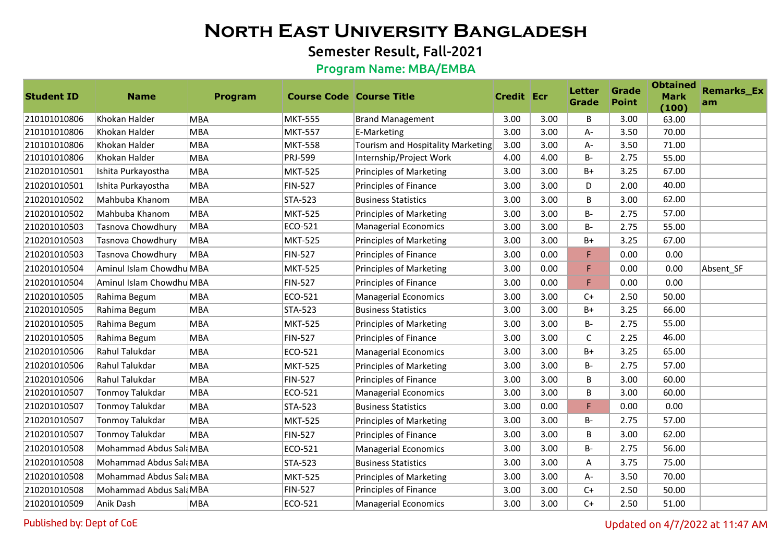## Semester Result, Fall-2021

### Program Name: MBA/EMBA

| <b>Student ID</b> | <b>Name</b>              | Program    | <b>Course Code Course Title</b> |                                   | Credit Ecr |      | <b>Letter</b><br><b>Grade</b> | Grade<br><b>Point</b> | <b>Obtained</b><br><b>Mark</b><br>(100) | <b>Remarks_Ex</b><br>am |
|-------------------|--------------------------|------------|---------------------------------|-----------------------------------|------------|------|-------------------------------|-----------------------|-----------------------------------------|-------------------------|
| 210101010806      | Khokan Halder            | <b>MBA</b> | <b>MKT-555</b>                  | <b>Brand Management</b>           | 3.00       | 3.00 | B                             | 3.00                  | 63.00                                   |                         |
| 210101010806      | Khokan Halder            | <b>MBA</b> | <b>MKT-557</b>                  | E-Marketing                       | 3.00       | 3.00 | A-                            | 3.50                  | 70.00                                   |                         |
| 210101010806      | Khokan Halder            | <b>MBA</b> | <b>MKT-558</b>                  | Tourism and Hospitality Marketing | 3.00       | 3.00 | A-                            | 3.50                  | 71.00                                   |                         |
| 210101010806      | Khokan Halder            | <b>MBA</b> | PRJ-599                         | Internship/Project Work           | 4.00       | 4.00 | <b>B-</b>                     | 2.75                  | 55.00                                   |                         |
| 210201010501      | Ishita Purkayostha       | <b>MBA</b> | <b>MKT-525</b>                  | <b>Principles of Marketing</b>    | 3.00       | 3.00 | $B+$                          | 3.25                  | 67.00                                   |                         |
| 210201010501      | Ishita Purkayostha       | <b>MBA</b> | <b>FIN-527</b>                  | Principles of Finance             | 3.00       | 3.00 | D                             | 2.00                  | 40.00                                   |                         |
| 210201010502      | Mahbuba Khanom           | <b>MBA</b> | <b>STA-523</b>                  | <b>Business Statistics</b>        | 3.00       | 3.00 | B                             | 3.00                  | 62.00                                   |                         |
| 210201010502      | Mahbuba Khanom           | <b>MBA</b> | <b>MKT-525</b>                  | <b>Principles of Marketing</b>    | 3.00       | 3.00 | <b>B-</b>                     | 2.75                  | 57.00                                   |                         |
| 210201010503      | Tasnova Chowdhury        | <b>MBA</b> | ECO-521                         | Managerial Economics              | 3.00       | 3.00 | <b>B-</b>                     | 2.75                  | 55.00                                   |                         |
| 210201010503      | Tasnova Chowdhury        | <b>MBA</b> | <b>MKT-525</b>                  | <b>Principles of Marketing</b>    | 3.00       | 3.00 | $B+$                          | 3.25                  | 67.00                                   |                         |
| 210201010503      | Tasnova Chowdhury        | <b>MBA</b> | <b>FIN-527</b>                  | Principles of Finance             | 3.00       | 0.00 | F                             | 0.00                  | 0.00                                    |                         |
| 210201010504      | Aminul Islam Chowdhu MBA |            | <b>MKT-525</b>                  | <b>Principles of Marketing</b>    | 3.00       | 0.00 | F.                            | 0.00                  | 0.00                                    | Absent SF               |
| 210201010504      | Aminul Islam Chowdhu MBA |            | <b>FIN-527</b>                  | Principles of Finance             | 3.00       | 0.00 | F                             | 0.00                  | 0.00                                    |                         |
| 210201010505      | Rahima Begum             | <b>MBA</b> | ECO-521                         | Managerial Economics              | 3.00       | 3.00 | $C+$                          | 2.50                  | 50.00                                   |                         |
| 210201010505      | Rahima Begum             | <b>MBA</b> | <b>STA-523</b>                  | <b>Business Statistics</b>        | 3.00       | 3.00 | $B+$                          | 3.25                  | 66.00                                   |                         |
| 210201010505      | Rahima Begum             | <b>MBA</b> | <b>MKT-525</b>                  | <b>Principles of Marketing</b>    | 3.00       | 3.00 | B-                            | 2.75                  | 55.00                                   |                         |
| 210201010505      | Rahima Begum             | <b>MBA</b> | <b>FIN-527</b>                  | Principles of Finance             | 3.00       | 3.00 | $\mathsf C$                   | 2.25                  | 46.00                                   |                         |
| 210201010506      | Rahul Talukdar           | <b>MBA</b> | ECO-521                         | Managerial Economics              | 3.00       | 3.00 | $B+$                          | 3.25                  | 65.00                                   |                         |
| 210201010506      | Rahul Talukdar           | <b>MBA</b> | <b>MKT-525</b>                  | <b>Principles of Marketing</b>    | 3.00       | 3.00 | <b>B-</b>                     | 2.75                  | 57.00                                   |                         |
| 210201010506      | Rahul Talukdar           | <b>MBA</b> | <b>FIN-527</b>                  | Principles of Finance             | 3.00       | 3.00 | B                             | 3.00                  | 60.00                                   |                         |
| 210201010507      | Tonmoy Talukdar          | <b>MBA</b> | ECO-521                         | Managerial Economics              | 3.00       | 3.00 | B                             | 3.00                  | 60.00                                   |                         |
| 210201010507      | Tonmoy Talukdar          | <b>MBA</b> | <b>STA-523</b>                  | <b>Business Statistics</b>        | 3.00       | 0.00 | F                             | 0.00                  | 0.00                                    |                         |
| 210201010507      | Tonmoy Talukdar          | <b>MBA</b> | <b>MKT-525</b>                  | <b>Principles of Marketing</b>    | 3.00       | 3.00 | $B -$                         | 2.75                  | 57.00                                   |                         |
| 210201010507      | <b>Tonmoy Talukdar</b>   | <b>MBA</b> | <b>FIN-527</b>                  | Principles of Finance             | 3.00       | 3.00 | B                             | 3.00                  | 62.00                                   |                         |
| 210201010508      | Mohammad Abdus Sal MBA   |            | ECO-521                         | Managerial Economics              | 3.00       | 3.00 | <b>B-</b>                     | 2.75                  | 56.00                                   |                         |
| 210201010508      | Mohammad Abdus Sal MBA   |            | <b>STA-523</b>                  | <b>Business Statistics</b>        | 3.00       | 3.00 | A                             | 3.75                  | 75.00                                   |                         |
| 210201010508      | Mohammad Abdus Sali MBA  |            | <b>MKT-525</b>                  | <b>Principles of Marketing</b>    | 3.00       | 3.00 | А-                            | 3.50                  | 70.00                                   |                         |
| 210201010508      | Mohammad Abdus Sal MBA   |            | <b>FIN-527</b>                  | Principles of Finance             | 3.00       | 3.00 | $C+$                          | 2.50                  | 50.00                                   |                         |
| 210201010509      | Anik Dash                | <b>MBA</b> | ECO-521                         | Managerial Economics              | 3.00       | 3.00 | $C+$                          | 2.50                  | 51.00                                   |                         |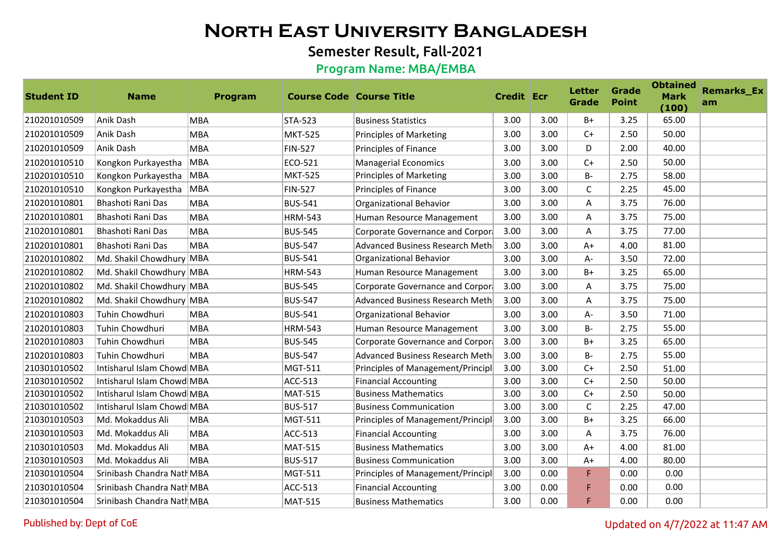## Semester Result, Fall-2021

### Program Name: MBA/EMBA

| <b>Student ID</b> | <b>Name</b>                | Program    | <b>Course Code Course Title</b> |                                   | <b>Credit Ecr</b> |      | <b>Letter</b><br><b>Grade</b> | Grade<br><b>Point</b> | <b>Obtained</b><br><b>Mark</b><br>(100) | <b>Remarks_Ex</b><br>am |
|-------------------|----------------------------|------------|---------------------------------|-----------------------------------|-------------------|------|-------------------------------|-----------------------|-----------------------------------------|-------------------------|
| 210201010509      | Anik Dash                  | <b>MBA</b> | <b>STA-523</b>                  | <b>Business Statistics</b>        | 3.00              | 3.00 | $B+$                          | 3.25                  | 65.00                                   |                         |
| 210201010509      | Anik Dash                  | <b>MBA</b> | <b>MKT-525</b>                  | <b>Principles of Marketing</b>    | 3.00              | 3.00 | $C+$                          | 2.50                  | 50.00                                   |                         |
| 210201010509      | Anik Dash                  | <b>MBA</b> | <b>FIN-527</b>                  | Principles of Finance             | 3.00              | 3.00 | D                             | 2.00                  | 40.00                                   |                         |
| 210201010510      | Kongkon Purkayestha        | MBA        | ECO-521                         | Managerial Economics              | 3.00              | 3.00 | $C+$                          | 2.50                  | 50.00                                   |                         |
| 210201010510      | Kongkon Purkayestha        | <b>MBA</b> | <b>MKT-525</b>                  | <b>Principles of Marketing</b>    | 3.00              | 3.00 | B-                            | 2.75                  | 58.00                                   |                         |
| 210201010510      | Kongkon Purkayestha        | <b>MBA</b> | <b>FIN-527</b>                  | Principles of Finance             | 3.00              | 3.00 | $\mathsf{C}$                  | 2.25                  | 45.00                                   |                         |
| 210201010801      | Bhashoti Rani Das          | <b>MBA</b> | <b>BUS-541</b>                  | Organizational Behavior           | 3.00              | 3.00 | A                             | 3.75                  | 76.00                                   |                         |
| 210201010801      | Bhashoti Rani Das          | <b>MBA</b> | <b>HRM-543</b>                  | Human Resource Management         | 3.00              | 3.00 | A                             | 3.75                  | 75.00                                   |                         |
| 210201010801      | Bhashoti Rani Das          | <b>MBA</b> | <b>BUS-545</b>                  | Corporate Governance and Corpor   | 3.00              | 3.00 | Α                             | 3.75                  | 77.00                                   |                         |
| 210201010801      | Bhashoti Rani Das          | <b>MBA</b> | <b>BUS-547</b>                  | Advanced Business Research Meth   | 3.00              | 3.00 | $A+$                          | 4.00                  | 81.00                                   |                         |
| 210201010802      | Md. Shakil Chowdhury MBA   |            | <b>BUS-541</b>                  | Organizational Behavior           | 3.00              | 3.00 | А-                            | 3.50                  | 72.00                                   |                         |
| 210201010802      | Md. Shakil Chowdhury MBA   |            | <b>HRM-543</b>                  | Human Resource Management         | 3.00              | 3.00 | B+                            | 3.25                  | 65.00                                   |                         |
| 210201010802      | Md. Shakil Chowdhury MBA   |            | <b>BUS-545</b>                  | Corporate Governance and Corpor   | 3.00              | 3.00 | A                             | 3.75                  | 75.00                                   |                         |
| 210201010802      | Md. Shakil Chowdhury MBA   |            | <b>BUS-547</b>                  | Advanced Business Research Meth   | 3.00              | 3.00 | Α                             | 3.75                  | 75.00                                   |                         |
| 210201010803      | Tuhin Chowdhuri            | <b>MBA</b> | <b>BUS-541</b>                  | Organizational Behavior           | 3.00              | 3.00 | A-                            | 3.50                  | 71.00                                   |                         |
| 210201010803      | <b>Tuhin Chowdhuri</b>     | <b>MBA</b> | <b>HRM-543</b>                  | Human Resource Management         | 3.00              | 3.00 | <b>B-</b>                     | 2.75                  | 55.00                                   |                         |
| 210201010803      | Tuhin Chowdhuri            | <b>MBA</b> | <b>BUS-545</b>                  | Corporate Governance and Corpor   | 3.00              | 3.00 | $B+$                          | 3.25                  | 65.00                                   |                         |
| 210201010803      | Tuhin Chowdhuri            | <b>MBA</b> | <b>BUS-547</b>                  | Advanced Business Research Meth   | 3.00              | 3.00 | <b>B-</b>                     | 2.75                  | 55.00                                   |                         |
| 210301010502      | Intisharul Islam Chowd MBA |            | MGT-511                         | Principles of Management/Principl | 3.00              | 3.00 | $C+$                          | 2.50                  | 51.00                                   |                         |
| 210301010502      | Intisharul Islam Chowd MBA |            | <b>ACC-513</b>                  | <b>Financial Accounting</b>       | 3.00              | 3.00 | $C+$                          | 2.50                  | 50.00                                   |                         |
| 210301010502      | Intisharul Islam Chowd MBA |            | <b>MAT-515</b>                  | <b>Business Mathematics</b>       | 3.00              | 3.00 | $C+$                          | 2.50                  | 50.00                                   |                         |
| 210301010502      | Intisharul Islam Chowd MBA |            | <b>BUS-517</b>                  | <b>Business Communication</b>     | 3.00              | 3.00 | $\mathsf{C}$                  | 2.25                  | 47.00                                   |                         |
| 210301010503      | Md. Mokaddus Ali           | <b>MBA</b> | MGT-511                         | Principles of Management/Principl | 3.00              | 3.00 | $B+$                          | 3.25                  | 66.00                                   |                         |
| 210301010503      | Md. Mokaddus Ali           | <b>MBA</b> | <b>ACC-513</b>                  | <b>Financial Accounting</b>       | 3.00              | 3.00 | Α                             | 3.75                  | 76.00                                   |                         |
| 210301010503      | Md. Mokaddus Ali           | <b>MBA</b> | <b>MAT-515</b>                  | <b>Business Mathematics</b>       | 3.00              | 3.00 | $A+$                          | 4.00                  | 81.00                                   |                         |
| 210301010503      | Md. Mokaddus Ali           | <b>MBA</b> | <b>BUS-517</b>                  | <b>Business Communication</b>     | 3.00              | 3.00 | $A+$                          | 4.00                  | 80.00                                   |                         |
| 210301010504      | Srinibash Chandra Nath MBA |            | MGT-511                         | Principles of Management/Principl | 3.00              | 0.00 | F                             | 0.00                  | 0.00                                    |                         |
| 210301010504      | Srinibash Chandra Natl MBA |            | <b>ACC-513</b>                  | <b>Financial Accounting</b>       | 3.00              | 0.00 | F                             | 0.00                  | 0.00                                    |                         |
| 210301010504      | Srinibash Chandra Nath MBA |            | <b>MAT-515</b>                  | <b>Business Mathematics</b>       | 3.00              | 0.00 | F                             | 0.00                  | 0.00                                    |                         |